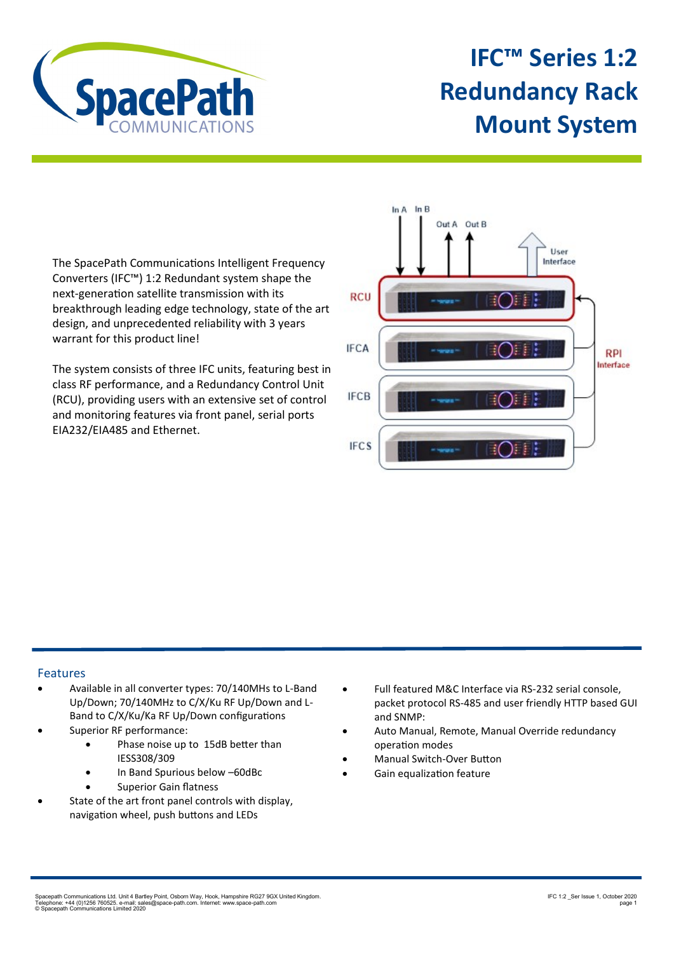

## **IFC™ Series 1:2 Redundancy Rack Mount System**

The SpacePath Communications Intelligent Frequency Converters (IFC™) 1:2 Redundant system shape the next-generation satellite transmission with its breakthrough leading edge technology, state of the art design, and unprecedented reliability with 3 years warrant for this product line!

The system consists of three IFC units, featuring best in class RF performance, and a Redundancy Control Unit (RCU), providing users with an extensive set of control and monitoring features via front panel, serial ports EIA232/EIA485 and Ethernet.



## Features

- Available in all converter types: 70/140MHs to L-Band Up/Down; 70/140MHz to C/X/Ku RF Up/Down and L-Band to C/X/Ku/Ka RF Up/Down configurations
- Superior RF performance:
	- Phase noise up to 15dB better than IESS308/309
	- In Band Spurious below –60dBc
	- Superior Gain flatness
- State of the art front panel controls with display, navigation wheel, push buttons and LEDs
- Full featured M&C Interface via RS-232 serial console, packet protocol RS-485 and user friendly HTTP based GUI and SNMP:
- Auto Manual, Remote, Manual Override redundancy operation modes
- Manual Switch-Over Button
- Gain equalization feature

Spacepath Communications Ltd. Unit 4 Bartley Point, Osborn Way, Hook, Hampshire RG27 9GX United Kingdom.<br>Telephone: +44 (0)1256 760525. e-mail: sales@space-path.com. Internet: www.space-path.com<br>© Spacepath Communications